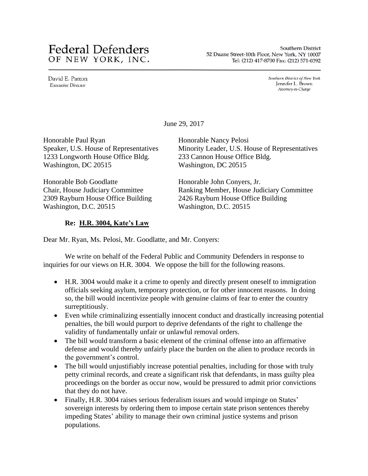# **Federal Defenders** OF NEW YORK, INC.

Southern District 52 Duane Street-10th Floor, New York, NY 10007 Tel: (212) 417-8700 Fax: (212) 571-0392

David E. Patton **Executive Director** 

Southern District of New York Jennifer L. Brown Attorney-in-Charge

June 29, 2017

Honorable Paul Ryan Speaker, U.S. House of Representatives 1233 Longworth House Office Bldg. Washington, DC 20515

Honorable Bob Goodlatte Chair, House Judiciary Committee 2309 Rayburn House Office Building Washington, D.C. 20515

## **Re: H.R. 3004, Kate's Law**

Honorable Nancy Pelosi Minority Leader, U.S. House of Representatives 233 Cannon House Office Bldg. Washington, DC 20515

Honorable John Conyers, Jr. Ranking Member, House Judiciary Committee 2426 Rayburn House Office Building Washington, D.C. 20515

Dear Mr. Ryan, Ms. Pelosi, Mr. Goodlatte, and Mr. Conyers:

We write on behalf of the Federal Public and Community Defenders in response to inquiries for our views on H.R. 3004. We oppose the bill for the following reasons.

- H.R. 3004 would make it a crime to openly and directly present oneself to immigration officials seeking asylum, temporary protection, or for other innocent reasons. In doing so, the bill would incentivize people with genuine claims of fear to enter the country surreptitiously.
- Even while criminalizing essentially innocent conduct and drastically increasing potential penalties, the bill would purport to deprive defendants of the right to challenge the validity of fundamentally unfair or unlawful removal orders.
- The bill would transform a basic element of the criminal offense into an affirmative defense and would thereby unfairly place the burden on the alien to produce records in the government's control.
- The bill would unjustifiably increase potential penalties, including for those with truly petty criminal records, and create a significant risk that defendants, in mass guilty plea proceedings on the border as occur now, would be pressured to admit prior convictions that they do not have.
- Finally, H.R. 3004 raises serious federalism issues and would impinge on States' sovereign interests by ordering them to impose certain state prison sentences thereby impeding States' ability to manage their own criminal justice systems and prison populations.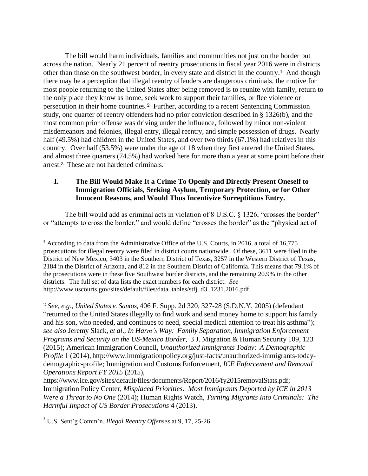The bill would harm individuals, families and communities not just on the border but across the nation. Nearly 21 percent of reentry prosecutions in fiscal year 2016 were in districts other than those on the southwest border, in every state and district in the country.<sup>1</sup> And though there may be a perception that illegal reentry offenders are dangerous criminals, the motive for most people returning to the United States after being removed is to reunite with family, return to the only place they know as home, seek work to support their families, or flee violence or persecution in their home countries. 2 Further, according to a recent Sentencing Commission study, one quarter of reentry offenders had no prior conviction described in § 1326(b), and the most common prior offense was driving under the influence, followed by minor non-violent misdemeanors and felonies, illegal entry, illegal reentry, and simple possession of drugs. Nearly half (49.5%) had children in the United States, and over two thirds (67.1%) had relatives in this country. Over half (53.5%) were under the age of 18 when they first entered the United States, and almost three quarters (74.5%) had worked here for more than a year at some point before their arrest. <sup>3</sup> These are not hardened criminals.

## **I. The Bill Would Make It a Crime To Openly and Directly Present Oneself to Immigration Officials, Seeking Asylum, Temporary Protection, or for Other Innocent Reasons, and Would Thus Incentivize Surreptitious Entry.**

The bill would add as criminal acts in violation of 8 U.S.C. § 1326, "crosses the border" or "attempts to cross the border," and would define "crosses the border" as the "physical act of

<sup>2</sup> *See*, *e.g*., *United States v. Santos*, 406 F. Supp. 2d 320, 327-28 (S.D.N.Y. 2005) (defendant "returned to the United States illegally to find work and send money home to support his family and his son, who needed, and continues to need, special medical attention to treat his asthma"); *see also* Jeremy Slack, *et al*., *In Harm's Way: Family Separation, Immigration Enforcement Programs and Security on the US-Mexico Border*, 3 J. Migration & Human Security 109, 123 (2015); American Immigration Council, *Unauthorized Immigrants Today: A Demographic Profile* 1 (2014), [http://www.immigrationpolicy.org/just-facts/unauthorized-immigrants-today](http://www.immigrationpolicy.org/just-facts/unauthorized-immigrants-today-)demographic-profile; Immigration and Customs Enforcement, *ICE Enforcement and Removal Operations Report FY 2015* (2015),

<sup>3</sup> U.S. Sent'g Comm'n, *Illegal Reentry Offenses* at 9, 17, 25-26.

 $\overline{a}$ 

<sup>1</sup> According to data from the Administrative Office of the U.S. Courts, in 2016, a total of 16,775 prosecutions for illegal reentry were filed in district courts nationwide. Of these, 3611 were filed in the District of New Mexico, 3403 in the Southern District of Texas, 3257 in the Western District of Texas, 2184 in the District of Arizona, and 812 in the Southern District of California. This means that 79.1% of the prosecutions were in these five Southwest border districts, and the remaining 20.9% in the other districts. The full set of data lists the exact numbers for each district. *See*  http://www.uscourts.gov/sites/default/files/data\_tables/stfj\_d3\_1231.2016.pdf.

https://www.ice.gov/sites/default/files/documents/Report/2016/fy2015removalStats.pdf; Immigration Policy Center, *Misplaced Priorities: Most Immigrants Deported by ICE in 2013 Were a Threat to No One* (2014); Human Rights Watch, *Turning Migrants Into Criminals: The Harmful Impact of US Border Prosecutions* 4 (2013).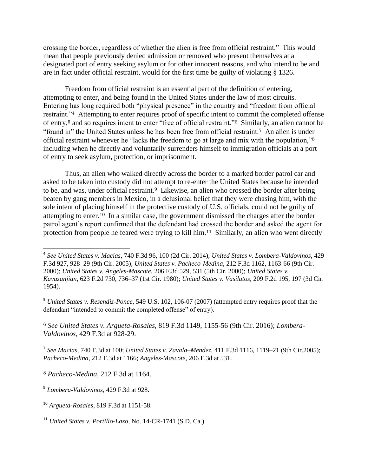crossing the border, regardless of whether the alien is free from official restraint." This would mean that people previously denied admission or removed who present themselves at a designated port of entry seeking asylum or for other innocent reasons, and who intend to be and are in fact under official restraint, would for the first time be guilty of violating § 1326.

Freedom from official restraint is an essential part of the definition of entering, attempting to enter, and being found in the United States under the law of most circuits. Entering has long required both "physical presence" in the country and "freedom from official restraint."<sup>4</sup> Attempting to enter requires proof of specific intent to commit the completed offense of entry,<sup>5</sup> and so requires intent to enter "free of official restraint."<sup>6</sup> Similarly, an alien cannot be "found in" the United States unless he has been free from official restraint.<sup>7</sup> An alien is under official restraint whenever he "lacks the freedom to go at large and mix with the population,"<sup>8</sup> including when he directly and voluntarily surrenders himself to immigration officials at a port of entry to seek asylum, protection, or imprisonment.

Thus, an alien who walked directly across the border to a marked border patrol car and asked to be taken into custody did not attempt to re-enter the United States because he intended to be, and was, under official restraint.<sup>9</sup> Likewise, an alien who crossed the border after being beaten by gang members in Mexico, in a delusional belief that they were chasing him, with the sole intent of placing himself in the protective custody of U.S. officials, could not be guilty of attempting to enter.<sup>10</sup> In a similar case, the government dismissed the charges after the border patrol agent's report confirmed that the defendant had crossed the border and asked the agent for protection from people he feared were trying to kill him.<sup>11</sup> Similarly, an alien who went directly

<sup>6</sup> *See United States v. Argueta-Rosales*, 819 F.3d 1149, 1155-56 (9th Cir. 2016); *Lombera-Valdovinos*, 429 F.3d at 928-29.

7 *See Macias*, 740 F.3d at 100; *United States v. Zavala–Mendez,* 411 F.3d 1116, 1119–21 (9th Cir.2005); *Pacheco-Medina*, 212 F.3d at 1166; *Angeles-Mascote*, 206 F.3d at 531.

 4 *See United States v. Macias*, 740 F.3d 96, 100 (2d Cir. 2014); *United States v. Lombera-Valdovinos*, 429 F.3d 927, 928–29 (9th Cir. 2005); *United States v. Pacheco-Medina*, 212 F.3d 1162, 1163-66 (9th Cir. 2000); *United States v. Angeles-Mascote*, 206 F.3d 529, 531 (5th Cir. 2000); *United States v. Kavazanjian*, 623 F.2d 730, 736–37 (1st Cir. 1980); *United States v. Vasilatos*, 209 F.2d 195, 197 (3d Cir. 1954).

<sup>5</sup> *United States v. Resendiz-Ponce*, 549 U.S. 102, 106-07 (2007) (attempted entry requires proof that the defendant "intended to commit the completed offense" of entry).

<sup>8</sup> *Pacheco-Medina*, 212 F.3d at 1164.

<sup>9</sup> *Lombera-Valdovinos*, 429 F.3d at 928.

<sup>10</sup> *Argueta-Rosales*, 819 F.3d at 1151-58.

<sup>11</sup> *United States v. Portillo-Lazo*, No. 14-CR-1741 (S.D. Ca.).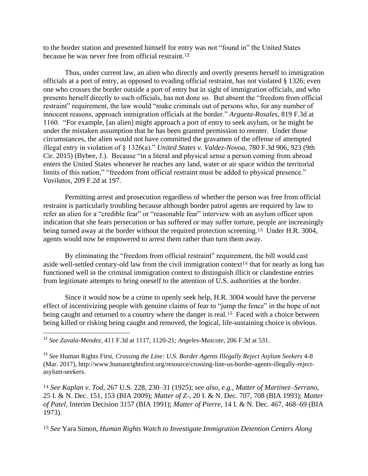to the border station and presented himself for entry was not "found in" the United States because he was never free from official restraint.<sup>12</sup>

Thus, under current law, an alien who directly and overtly presents herself to immigration officials at a port of entry, as opposed to evading official restraint, has not violated § 1326; even one who crosses the border outside a port of entry but in sight of immigration officials, and who presents herself directly to such officials, has not done so. But absent the "freedom from official restraint" requirement, the law would "make criminals out of persons who, for any number of innocent reasons, approach immigration officials at the border." *Argueta-Rosales*, 819 F.3d at 1160. "For example, [an alien] might approach a port of entry to seek asylum, or he might be under the mistaken assumption that he has been granted permission to reenter. Under those circumstances, the alien would not have committed the gravamen of the offense of attempted illegal entry in violation of § 1326(a)." *United States v. Valdez-Novoa*, 780 F.3d 906, 923 (9th Cir. 2015) (Bybee, J.). Because "in a literal and physical sense a person coming from abroad enters the United States whenever he reaches any land, water or air space within the territorial limits of this nation," "freedom from official restraint must be added to physical presence." *Vavilatos*, 209 F.2d at 197.

Permitting arrest and prosecution regardless of whether the person was free from official restraint is particularly troubling because although border patrol agents are required by law to refer an alien for a "credible fear" or "reasonable fear" interview with an asylum officer upon indication that she fears persecution or has suffered or may suffer torture, people are increasingly being turned away at the border without the required protection screening.<sup>13</sup> Under H.R. 3004, agents would now be empowered to arrest them rather than turn them away.

By eliminating the "freedom from official restraint" requirement, the bill would cast aside well-settled century-old law from the civil immigration context<sup>14</sup> that for nearly as long has functioned well in the criminal immigration context to distinguish illicit or clandestine entries from legitimate attempts to bring oneself to the attention of U.S. authorities at the border.

Since it would now be a crime to openly seek help, H.R. 3004 would have the perverse effect of incentivizing people with genuine claims of fear to "jump the fence" in the hope of not being caught and returned to a country where the danger is real.<sup>15</sup> Faced with a choice between being killed or risking being caught and removed, the logical, life-sustaining choice is obvious.

l

<sup>13</sup> *See* Human Rights First, *Crossing the Line: U.S. Border Agents Illegally Reject Asylum Seekers* 4-8 (Mar. 2017), http://www.humanrightsfirst.org/resource/crossing-line-us-border-agents-illegally-rejectasylum-seekers.

<sup>14</sup> *See Kaplan v. Tod,* [267 U.S. 228, 230–31 \(1925\);](https://1.next.westlaw.com/Link/Document/FullText?findType=Y&serNum=1925121949&pubNum=0000708&originatingDoc=I3ad5373100ae11e690d4edf60ce7d742&refType=RP&originationContext=document&transitionType=DocumentItem&contextData=(sc.Search)) *see also*, *e.g.*, *Matter of Martinez–Serrano*, 25 I. & N. Dec. 151, 153 (BIA 2009); *Matter of Z-*, 20 I. & N. Dec. 707, 708 (BIA 1993); *Matter of Patel,* Interim Decision 3157 (BIA 1991); *Matter of Pierre,* 14 I. & N. Dec. 467, 468–69 (BIA 1973).

<sup>15</sup> *See* Yara Simon, *Human Rights Watch to Investigate Immigration Detention Centers Along*

<sup>12</sup> *See Zavala-Mendez*, 411 F.3d at 1117, 1120-21; *Angeles-Mascote*, 206 F.3d at 531.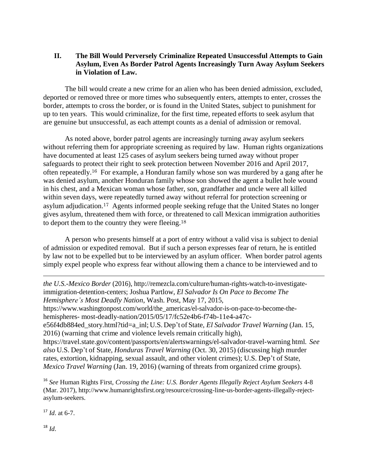## **II. The Bill Would Perversely Criminalize Repeated Unsuccessful Attempts to Gain Asylum, Even As Border Patrol Agents Increasingly Turn Away Asylum Seekers in Violation of Law.**

The bill would create a new crime for an alien who has been denied admission, excluded, deported or removed three or more times who subsequently enters, attempts to enter, crosses the border, attempts to cross the border, or is found in the United States, subject to punishment for up to ten years. This would criminalize, for the first time, repeated efforts to seek asylum that are genuine but unsuccessful, as each attempt counts as a denial of admission or removal.

As noted above, border patrol agents are increasingly turning away asylum seekers without referring them for appropriate screening as required by law. Human rights organizations have documented at least 125 cases of asylum seekers being turned away without proper safeguards to protect their right to seek protection between November 2016 and April 2017, often repeatedly.<sup>16</sup> For example, a Honduran family whose son was murdered by a gang after he was denied asylum, another Honduran family whose son showed the agent a bullet hole wound in his chest, and a Mexican woman whose father, son, grandfather and uncle were all killed within seven days, were repeatedly turned away without referral for protection screening or asylum adjudication.<sup>17</sup> Agents informed people seeking refuge that the United States no longer gives asylum, threatened them with force, or threatened to call Mexican immigration authorities to deport them to the country they were fleeing.<sup>18</sup>

A person who presents himself at a port of entry without a valid visa is subject to denial of admission or expedited removal. But if such a person expresses fear of return, he is entitled by law not to be expelled but to be interviewed by an asylum officer. When border patrol agents simply expel people who express fear without allowing them a chance to be interviewed and to

*the U.S.-Mexico Border* (2016), http://remezcla.com/culture/human-rights-watch-to-investigateimmigration-detention-centers; Joshua Partlow, *El Salvador Is On Pace to Become The Hemisphere's Most Deadly Nation*, Wash. Post, May 17, 2015, https://www.washingtonpost.com/world/the\_americas/el-salvador-is-on-pace-to-become-thehemispheres- most-deadly-nation/2015/05/17/fc52e4b6-f74b-11e4-a47ce56f4db884ed\_story.html?tid=a\_inl; U.S. Dep't of State, *El Salvador Travel Warning* (Jan. 15, 2016) (warning that crime and violence levels remain critically high), https://travel.state.gov/content/passports/en/alertswarnings/el-salvador-travel-warning html*. See also* U.S. Dep't of State, *Honduras Travel Warning* (Oct. 30, 2015) (discussing high murder rates, extortion, kidnapping, sexual assault, and other violent crimes); U.S. Dep't of State, *Mexico Travel Warning* (Jan. 19, 2016) (warning of threats from organized crime groups).

<sup>16</sup> *See* Human Rights First, *Crossing the Line: U.S. Border Agents Illegally Reject Asylum Seekers* 4-8 (Mar. 2017), http://www.humanrightsfirst.org/resource/crossing-line-us-border-agents-illegally-rejectasylum-seekers.

 $17 \, Id$  at 6-7.

 $18$  *Id.* 

l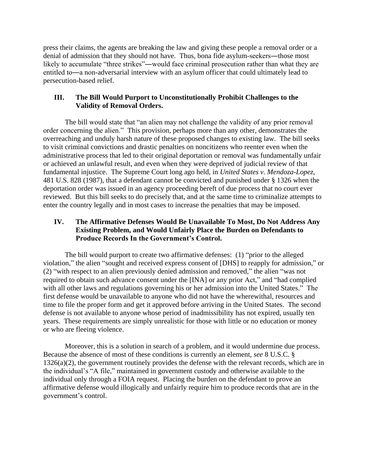press their claims, the agents are breaking the law and giving these people a removal order or a denial of admission that they should not have. Thus, bona fide asylum-seekers―those most likely to accumulate "three strikes"—would face criminal prosecution rather than what they are entitled to―a non-adversarial interview with an asylum officer that could ultimately lead to persecution-based relief.

## **III. The Bill Would Purport to Unconstitutionally Prohibit Challenges to the Validity of Removal Orders.**

The bill would state that "an alien may not challenge the validity of any prior removal order concerning the alien." This provision, perhaps more than any other, demonstrates the overreaching and unduly harsh nature of these proposed changes to existing law. The bill seeks to visit criminal convictions and drastic penalties on noncitizens who reenter even when the administrative process that led to their original deportation or removal was fundamentally unfair or achieved an unlawful result, and even when they were deprived of judicial review of that fundamental injustice. The Supreme Court long ago held, in *United States v. Mendoza-Lopez*, 481 U.S. 828 (1987), that a defendant cannot be convicted and punished under § 1326 when the deportation order was issued in an agency proceeding bereft of due process that no court ever reviewed. But this bill seeks to do precisely that, and at the same time to criminalize attempts to enter the country legally and in most cases to increase the penalties that may be imposed.

## **IV. The Affirmative Defenses Would Be Unavailable To Most, Do Not Address Any Existing Problem, and Would Unfairly Place the Burden on Defendants to Produce Records In the Government's Control.**

The bill would purport to create two affirmative defenses: (1) "prior to the alleged violation," the alien "sought and received express consent of [DHS] to reapply for admission," or (2) "with respect to an alien previously denied admission and removed," the alien "was not required to obtain such advance consent under the [INA] or any prior Act," and "had complied with all other laws and regulations governing his or her admission into the United States." The first defense would be unavailable to anyone who did not have the wherewithal, resources and time to file the proper form and get it approved before arriving in the United States. The second defense is not available to anyone whose period of inadmissibility has not expired, usually ten years. These requirements are simply unrealistic for those with little or no education or money or who are fleeing violence.

Moreover, this is a solution in search of a problem, and it would undermine due process. Because the absence of most of these conditions is currently an element, *see* 8 U.S.C. § 1326(a)(2), the government routinely provides the defense with the relevant records, which are in the individual's "A file," maintained in government custody and otherwise available to the individual only through a FOIA request. Placing the burden on the defendant to prove an affirmative defense would illogically and unfairly require him to produce records that are in the government's control.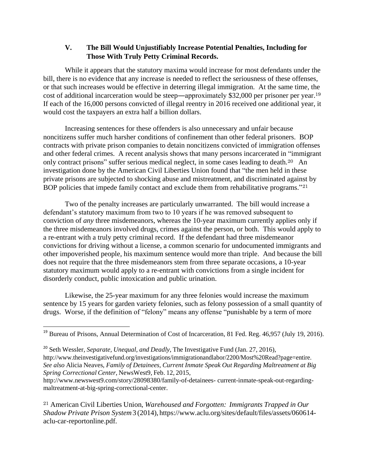## **V. The Bill Would Unjustifiably Increase Potential Penalties, Including for Those With Truly Petty Criminal Records.**

While it appears that the statutory maxima would increase for most defendants under the bill, there is no evidence that any increase is needed to reflect the seriousness of these offenses, or that such increases would be effective in deterring illegal immigration. At the same time, the cost of additional incarceration would be steep—approximately \$32,000 per prisoner per year.<sup>19</sup> If each of the 16,000 persons convicted of illegal reentry in 2016 received one additional year, it would cost the taxpayers an extra half a billion dollars.

Increasing sentences for these offenders is also unnecessary and unfair because noncitizens suffer much harsher conditions of confinement than other federal prisoners. BOP contracts with private prison companies to detain noncitizens convicted of immigration offenses and other federal crimes. A recent analysis shows that many persons incarcerated in "immigrant only contract prisons" suffer serious medical neglect, in some cases leading to death.<sup>20</sup> An investigation done by the American Civil Liberties Union found that "the men held in these private prisons are subjected to shocking abuse and mistreatment, and discriminated against by BOP policies that impede family contact and exclude them from rehabilitative programs."<sup>21</sup>

Two of the penalty increases are particularly unwarranted. The bill would increase a defendant's statutory maximum from two to 10 years if he was removed subsequent to conviction of *any* three misdemeanors, whereas the 10-year maximum currently applies only if the three misdemeanors involved drugs, crimes against the person, or both. This would apply to a re-entrant with a truly petty criminal record. If the defendant had three misdemeanor convictions for driving without a license, a common scenario for undocumented immigrants and other impoverished people, his maximum sentence would more than triple. And because the bill does not require that the three misdemeanors stem from three separate occasions, a 10-year statutory maximum would apply to a re-entrant with convictions from a single incident for disorderly conduct, public intoxication and public urination.

Likewise, the 25-year maximum for any three felonies would increase the maximum sentence by 15 years for garden variety felonies, such as felony possession of a small quantity of drugs. Worse, if the definition of "felony" means any offense "punishable by a term of more

l

<sup>21</sup> American Civil Liberties Union, *Warehoused and Forgotten: Immigrants Trapped in Our Shadow Private Prison System*3 (2014), https:/[/www.aclu.org/sites/default/files/assets/060614](http://www.aclu.org/sites/default/files/assets/060614-aclu-car-reportonline.pdf) [aclu-car-reportonline.pdf.](http://www.aclu.org/sites/default/files/assets/060614-aclu-car-reportonline.pdf)

<sup>&</sup>lt;sup>19</sup> Bureau of Prisons, Annual Determination of Cost of Incarceration, 81 Fed. Reg. 46,957 (July 19, 2016).

<sup>20</sup> Seth Wessler, *Separate, Unequal, and Deadly*, The Investigative Fund (Jan. 27, 2016), http://www.theinvestigativefund.org/investigations/immigrationandlabor/2200/Most%20Read?page=entire. *See also* Alicia Neaves, *Family of Detainees, Current Inmate Speak Out Regarding Maltreatment at Big Spring Correctional Center*, NewsWest9, Feb. 12, 2015,

http://www.newswest9.com/story/28098380/family-of-detainees- current-inmate-speak-out-regardingmaltreatment-at-big-spring-correctional-center.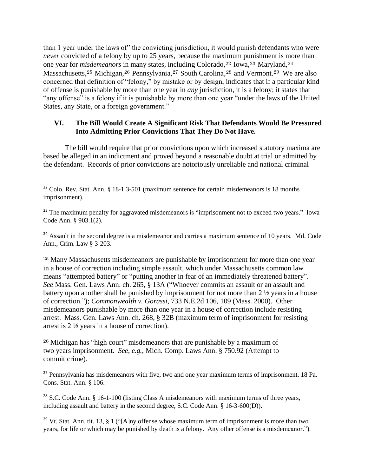than 1 year under the laws of" the convicting jurisdiction, it would punish defendants who were *never* convicted of a felony by up to 25 years, because the maximum punishment is more than one year for *misdemeanors* in many states, including Colorado, <sup>22</sup> Iowa, <sup>23</sup> Maryland, 24 Massachusetts,<sup>25</sup> Michigan,<sup>26</sup> Pennsylvania,<sup>27</sup> South Carolina,<sup>28</sup> and Vermont.<sup>29</sup> We are also concerned that definition of "felony," by mistake or by design, indicates that if a particular kind of offense is punishable by more than one year in *any* jurisdiction, it is a felony; it states that "any offense" is a felony if it is punishable by more than one year "under the laws of the United States, any State, or a foreign government."

## **VI. The Bill Would Create A Significant Risk That Defendants Would Be Pressured Into Admitting Prior Convictions That They Do Not Have.**

The bill would require that prior convictions upon which increased statutory maxima are based be alleged in an indictment and proved beyond a reasonable doubt at trial or admitted by the defendant. Records of prior convictions are notoriously unreliable and national criminal

 $\overline{a}$ 

<sup>24</sup> Assault in the second degree is a misdemeanor and carries a maximum sentence of 10 years. Md. Code Ann., Crim. Law § 3-203.

<sup>25</sup> Many Massachusetts misdemeanors are punishable by imprisonment for more than one year in a house of correction including simple assault, which under Massachusetts common law means "attempted battery" or "putting another in fear of an immediately threatened battery". *See* Mass. Gen. Laws Ann. ch. 265, § 13A ("Whoever commits an assault or an assault and battery upon another shall be punished by imprisonment for not more than 2 ½ years in a house of correction."); *Commonwealth v. Gorassi*, 733 N.E.2d 106, 109 (Mass. 2000). Other misdemeanors punishable by more than one year in a house of correction include resisting arrest. Mass. Gen. Laws Ann. ch. 268, § 32B (maximum term of imprisonment for resisting arrest is 2 ½ years in a house of correction).

<sup>26</sup> Michigan has "high court" misdemeanors that are punishable by a maximum of two years imprisonment. *See*, *e.g.*, Mich. Comp. Laws Ann. § 750.92 (Attempt to commit crime).

<sup>27</sup> Pennsylvania has misdemeanors with five, two and one year maximum terms of imprisonment. 18 Pa. Cons. Stat. Ann. § 106.

 $28$  S.C. Code Ann. § 16-1-100 (listing Class A misdemeanors with maximum terms of three years, including assault and battery in the second degree, S.C. Code Ann. § 16-3-600(D)).

<sup>29</sup> Vt. Stat. Ann. tit. 13, § 1 ("[A]ny offense whose maximum term of imprisonment is more than two years, for life or which may be punished by death is a felony. Any other offense is a misdemeanor.").

 $22$  Colo. Rev. Stat. Ann. § 18-1.3-501 (maximum sentence for certain misdemeanors is 18 months imprisonment).

<sup>&</sup>lt;sup>23</sup> The maximum penalty for aggravated misdemeanors is "imprisonment not to exceed two years." Iowa Code Ann. § 903.1(2).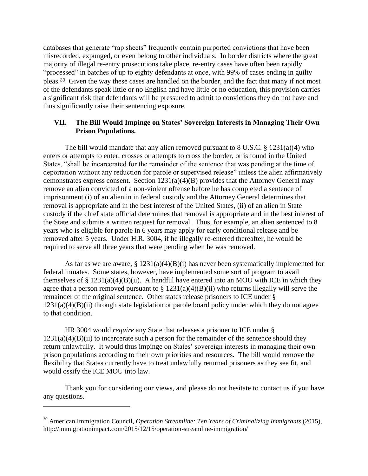databases that generate "rap sheets" frequently contain purported convictions that have been misrecorded, expunged, or even belong to other individuals. In border districts where the great majority of illegal re-entry prosecutions take place, re-entry cases have often been rapidly "processed" in batches of up to eighty defendants at once, with 99% of cases ending in guilty pleas.<sup>30</sup> Given the way these cases are handled on the border, and the fact that many if not most of the defendants speak little or no English and have little or no education, this provision carries a significant risk that defendants will be pressured to admit to convictions they do not have and thus significantly raise their sentencing exposure.

## **VII. The Bill Would Impinge on States' Sovereign Interests in Managing Their Own Prison Populations.**

The bill would mandate that any alien removed pursuant to 8 U.S.C. § 1231(a)(4) who enters or attempts to enter, crosses or attempts to cross the border, or is found in the United States, "shall be incarcerated for the remainder of the sentence that was pending at the time of deportation without any reduction for parole or supervised release" unless the alien affirmatively demonstrates express consent. Section 1231(a)(4)(B) provides that the Attorney General may remove an alien convicted of a non-violent offense before he has completed a sentence of imprisonment (i) of an alien in in federal custody and the Attorney General determines that removal is appropriate and in the best interest of the United States, (ii) of an alien in State custody if the chief state official determines that removal is appropriate and in the best interest of the State and submits a written request for removal. Thus, for example, an alien sentenced to 8 years who is eligible for parole in 6 years may apply for early conditional release and be removed after 5 years. Under H.R. 3004, if he illegally re-entered thereafter, he would be required to serve all three years that were pending when he was removed.

As far as we are aware,  $\S 1231(a)(4)(B)(i)$  has never been systematically implemented for federal inmates. Some states, however, have implemented some sort of program to avail themselves of  $\S 1231(a)(4)(B)(ii)$ . A handful have entered into an MOU with ICE in which they agree that a person removed pursuant to  $\S 1231(a)(4)(B)(ii)$  who returns illegally will serve the remainder of the original sentence. Other states release prisoners to ICE under §  $1231(a)(4)(B)(ii)$  through state legislation or parole board policy under which they do not agree to that condition.

HR 3004 would *require* any State that releases a prisoner to ICE under §  $1231(a)(4)(B)(ii)$  to incarcerate such a person for the remainder of the sentence should they return unlawfully. It would thus impinge on States' sovereign interests in managing their own prison populations according to their own priorities and resources. The bill would remove the flexibility that States currently have to treat unlawfully returned prisoners as they see fit, and would ossify the ICE MOU into law.

Thank you for considering our views, and please do not hesitate to contact us if you have any questions.

 $\overline{a}$ 

<sup>30</sup> American Immigration Council, *Operation Streamline: Ten Years of Criminalizing Immigrants* (2015), http://immigrationimpact.com/2015/12/15/operation-streamline-immigration/